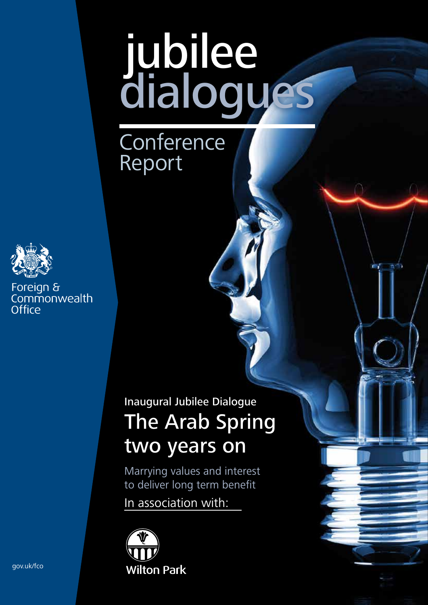# jubilee dialogues

**Conference** Report



Foreign & commonwealth Office

# Inaugural Jubilee Dialogue The Arab Spring two years on

Marrying values and interest to deliver long term benefit

In association with:



gov.uk/fco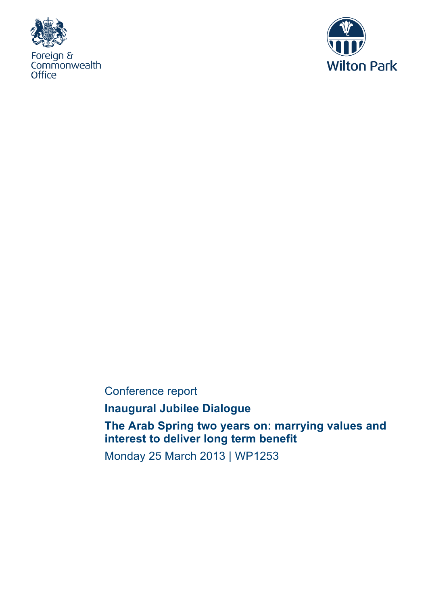



Conference report

**Inaugural Jubilee Dialogue**

**The Arab Spring two years on: marrying values and interest to deliver long term benefit**

Monday 25 March 2013 | WP1253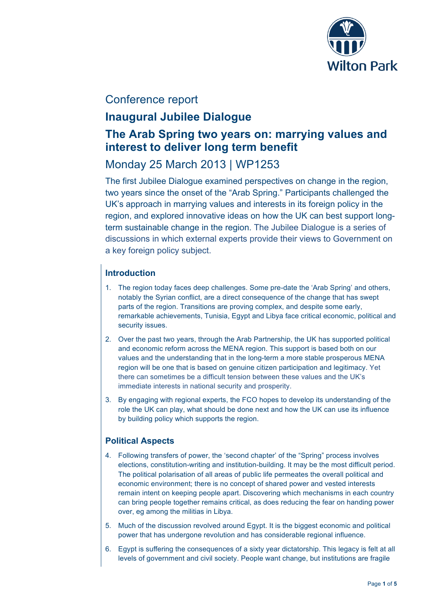

# Conference report

# **Inaugural Jubilee Dialogue**

# **The Arab Spring two years on: marrying values and interest to deliver long term benefit**

# Monday 25 March 2013 | WP1253

The first Jubilee Dialogue examined perspectives on change in the region, two years since the onset of the "Arab Spring." Participants challenged the UK's approach in marrying values and interests in its foreign policy in the region, and explored innovative ideas on how the UK can best support longterm sustainable change in the region. The Jubilee Dialogue is a series of discussions in which external experts provide their views to Government on a key foreign policy subject.

## **Introduction**

- 1. The region today faces deep challenges. Some pre-date the 'Arab Spring' and others, notably the Syrian conflict, are a direct consequence of the change that has swept parts of the region. Transitions are proving complex, and despite some early, remarkable achievements, Tunisia, Egypt and Libya face critical economic, political and security issues.
- 2. Over the past two years, through the Arab Partnership, the UK has supported political and economic reform across the MENA region. This support is based both on our values and the understanding that in the long-term a more stable prosperous MENA region will be one that is based on genuine citizen participation and legitimacy. Yet there can sometimes be a difficult tension between these values and the UK's immediate interests in national security and prosperity.
- 3. By engaging with regional experts, the FCO hopes to develop its understanding of the role the UK can play, what should be done next and how the UK can use its influence by building policy which supports the region.

## **Political Aspects**

- 4. Following transfers of power, the 'second chapter' of the "Spring" process involves elections, constitution-writing and institution-building. It may be the most difficult period. The political polarisation of all areas of public life permeates the overall political and economic environment; there is no concept of shared power and vested interests remain intent on keeping people apart. Discovering which mechanisms in each country can bring people together remains critical, as does reducing the fear on handing power over, eg among the militias in Libya.
- 5. Much of the discussion revolved around Egypt. It is the biggest economic and political power that has undergone revolution and has considerable regional influence.
- 6. Egypt is suffering the consequences of a sixty year dictatorship. This legacy is felt at all levels of government and civil society. People want change, but institutions are fragile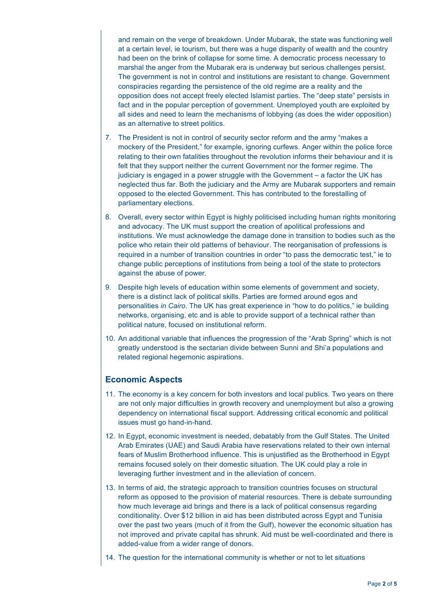and remain on the verge of breakdown. Under Mubarak, the state was functioning well at a certain level, ie tourism, but there was a huge disparity of wealth and the country had been on the brink of collapse for some time. A democratic process necessary to marshal the anger from the Mubarak era is underway but serious challenges persist. The government is not in control and institutions are resistant to change. Government conspiracies regarding the persistence of the old regime are a reality and the opposition does not accept freely elected Islamist parties. The "deep state" persists in fact and in the popular perception of government. Unemployed youth are exploited by all sides and need to learn the mechanisms of lobbying (as does the wider opposition) as an alternative to street politics.

- 7. The President is not in control of security sector reform and the army "makes a mockery of the President," for example, ignoring curfews. Anger within the police force relating to their own fatalities throughout the revolution informs their behaviour and it is felt that they support neither the current Government nor the former regime. The judiciary is engaged in a power struggle with the Government – a factor the UK has neglected thus far. Both the judiciary and the Army are Mubarak supporters and remain opposed to the elected Government. This has contributed to the forestalling of parliamentary elections.
- 8. Overall, every sector within Egypt is highly politicised including human rights monitoring and advocacy. The UK must support the creation of apolitical professions and institutions. We must acknowledge the damage done in transition to bodies such as the police who retain their old patterns of behaviour. The reorganisation of professions is required in a number of transition countries in order "to pass the democratic test," ie to change public perceptions of institutions from being a tool of the state to protectors against the abuse of power.
- 9. Despite high levels of education within some elements of government and society, there is a distinct lack of political skills. Parties are formed around egos and personalities *in Cairo*. The UK has great experience in "how to do politics," ie building networks, organising, etc and is able to provide support of a technical rather than political nature, focused on institutional reform.
- 10. An additional variable that influences the progression of the "Arab Spring" which is not greatly understood is the sectarian divide between Sunni and Shi'a populations and related regional hegemonic aspirations.

#### **Economic Aspects**

- 11. The economy is a key concern for both investors and local publics. Two years on there are not only major difficulties in growth recovery and unemployment but also a growing dependency on international fiscal support. Addressing critical economic and political issues must go hand-in-hand.
- 12. In Egypt, economic investment is needed, debatably from the Gulf States. The United Arab Emirates (UAE) and Saudi Arabia have reservations related to their own internal fears of Muslim Brotherhood influence. This is unjustified as the Brotherhood in Egypt remains focused solely on their domestic situation. The UK could play a role in leveraging further investment and in the alleviation of concern.
- 13. In terms of aid, the strategic approach to transition countries focuses on structural reform as opposed to the provision of material resources. There is debate surrounding how much leverage aid brings and there is a lack of political consensus regarding conditionality. Over \$12 billion in aid has been distributed across Egypt and Tunisia over the past two years (much of it from the Gulf), however the economic situation has not improved and private capital has shrunk. Aid must be well-coordinated and there is added-value from a wider range of donors.
- 14. The question for the international community is whether or not to let situations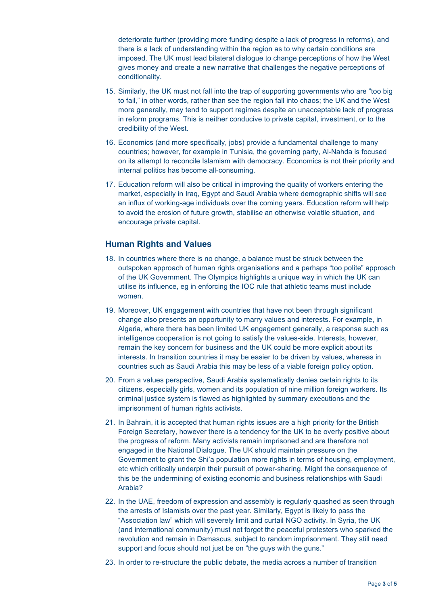deteriorate further (providing more funding despite a lack of progress in reforms), and there is a lack of understanding within the region as to why certain conditions are imposed. The UK must lead bilateral dialogue to change perceptions of how the West gives money and create a new narrative that challenges the negative perceptions of conditionality.

- 15. Similarly, the UK must not fall into the trap of supporting governments who are "too big to fail," in other words, rather than see the region fall into chaos; the UK and the West more generally, may tend to support regimes despite an unacceptable lack of progress in reform programs. This is neither conducive to private capital, investment, or to the credibility of the West.
- 16. Economics (and more specifically, jobs) provide a fundamental challenge to many countries; however, for example in Tunisia, the governing party, Al-Nahda is focused on its attempt to reconcile Islamism with democracy. Economics is not their priority and internal politics has become all-consuming.
- 17. Education reform will also be critical in improving the quality of workers entering the market, especially in Iraq, Egypt and Saudi Arabia where demographic shifts will see an influx of working-age individuals over the coming years. Education reform will help to avoid the erosion of future growth, stabilise an otherwise volatile situation, and encourage private capital.

#### **Human Rights and Values**

- 18. In countries where there is no change, a balance must be struck between the outspoken approach of human rights organisations and a perhaps "too polite" approach of the UK Government. The Olympics highlights a unique way in which the UK can utilise its influence, eg in enforcing the IOC rule that athletic teams must include women.
- 19. Moreover, UK engagement with countries that have not been through significant change also presents an opportunity to marry values and interests. For example, in Algeria, where there has been limited UK engagement generally, a response such as intelligence cooperation is not going to satisfy the values-side. Interests, however, remain the key concern for business and the UK could be more explicit about its interests. In transition countries it may be easier to be driven by values, whereas in countries such as Saudi Arabia this may be less of a viable foreign policy option.
- 20. From a values perspective, Saudi Arabia systematically denies certain rights to its citizens, especially girls, women and its population of nine million foreign workers. Its criminal justice system is flawed as highlighted by summary executions and the imprisonment of human rights activists.
- 21. In Bahrain, it is accepted that human rights issues are a high priority for the British Foreign Secretary, however there is a tendency for the UK to be overly positive about the progress of reform. Many activists remain imprisoned and are therefore not engaged in the National Dialogue. The UK should maintain pressure on the Government to grant the Shi'a population more rights in terms of housing, employment, etc which critically underpin their pursuit of power-sharing. Might the consequence of this be the undermining of existing economic and business relationships with Saudi Arabia?
- 22. In the UAE, freedom of expression and assembly is regularly quashed as seen through the arrests of Islamists over the past year. Similarly, Egypt is likely to pass the "Association law" which will severely limit and curtail NGO activity. In Syria, the UK (and international community) must not forget the peaceful protesters who sparked the revolution and remain in Damascus, subject to random imprisonment. They still need support and focus should not just be on "the guys with the guns."
- 23. In order to re-structure the public debate, the media across a number of transition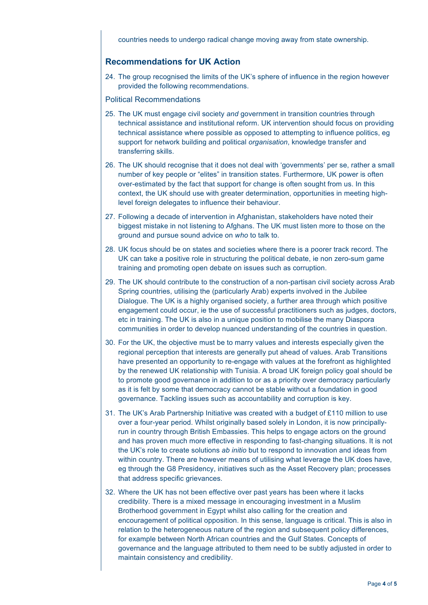countries needs to undergo radical change moving away from state ownership.

#### **Recommendations for UK Action**

24. The group recognised the limits of the UK's sphere of influence in the region however provided the following recommendations.

#### Political Recommendations

- 25. The UK must engage civil society *and* government in transition countries through technical assistance and institutional reform. UK intervention should focus on providing technical assistance where possible as opposed to attempting to influence politics, eg support for network building and political *organisation*, knowledge transfer and transferring skills.
- 26. The UK should recognise that it does not deal with 'governments' per se, rather a small number of key people or "elites" in transition states. Furthermore, UK power is often over-estimated by the fact that support for change is often sought from us. In this context, the UK should use with greater determination, opportunities in meeting highlevel foreign delegates to influence their behaviour.
- 27. Following a decade of intervention in Afghanistan, stakeholders have noted their biggest mistake in not listening to Afghans. The UK must listen more to those on the ground and pursue sound advice on *who* to talk to.
- 28. UK focus should be on states and societies where there is a poorer track record. The UK can take a positive role in structuring the political debate, ie non zero-sum game training and promoting open debate on issues such as corruption.
- 29. The UK should contribute to the construction of a non-partisan civil society across Arab Spring countries, utilising the (particularly Arab) experts involved in the Jubilee Dialogue. The UK is a highly organised society, a further area through which positive engagement could occur, ie the use of successful practitioners such as judges, doctors, etc in training. The UK is also in a unique position to mobilise the many Diaspora communities in order to develop nuanced understanding of the countries in question.
- 30. For the UK, the objective must be to marry values and interests especially given the regional perception that interests are generally put ahead of values. Arab Transitions have presented an opportunity to re-engage with values at the forefront as highlighted by the renewed UK relationship with Tunisia. A broad UK foreign policy goal should be to promote good governance in addition to or as a priority over democracy particularly as it is felt by some that democracy cannot be stable without a foundation in good governance. Tackling issues such as accountability and corruption is key.
- 31. The UK's Arab Partnership Initiative was created with a budget of £110 million to use over a four-year period. Whilst originally based solely in London, it is now principallyrun in country through British Embassies. This helps to engage actors on the ground and has proven much more effective in responding to fast-changing situations. It is not the UK's role to create solutions *ab initio* but to respond to innovation and ideas from within country. There are however means of utilising what leverage the UK does have, eg through the G8 Presidency, initiatives such as the Asset Recovery plan; processes that address specific grievances.
- 32. Where the UK has not been effective over past years has been where it lacks credibility. There is a mixed message in encouraging investment in a Muslim Brotherhood government in Egypt whilst also calling for the creation and encouragement of political opposition. In this sense, language is critical. This is also in relation to the heterogeneous nature of the region and subsequent policy differences, for example between North African countries and the Gulf States. Concepts of governance and the language attributed to them need to be subtly adjusted in order to maintain consistency and credibility.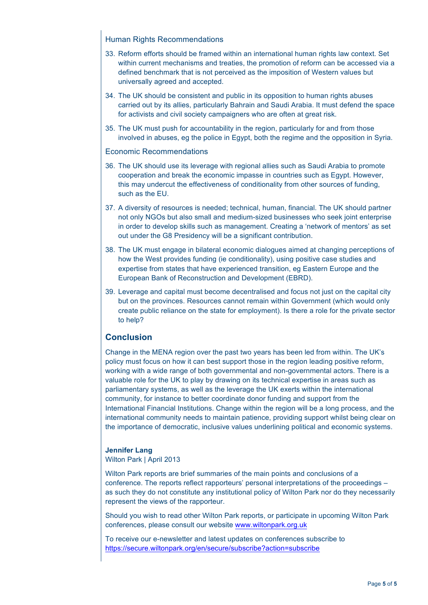#### Human Rights Recommendations

- 33. Reform efforts should be framed within an international human rights law context. Set within current mechanisms and treaties, the promotion of reform can be accessed via a defined benchmark that is not perceived as the imposition of Western values but universally agreed and accepted.
- 34. The UK should be consistent and public in its opposition to human rights abuses carried out by its allies, particularly Bahrain and Saudi Arabia. It must defend the space for activists and civil society campaigners who are often at great risk.
- 35. The UK must push for accountability in the region, particularly for and from those involved in abuses, eg the police in Egypt, both the regime and the opposition in Syria.

#### Economic Recommendations

- 36. The UK should use its leverage with regional allies such as Saudi Arabia to promote cooperation and break the economic impasse in countries such as Egypt. However, this may undercut the effectiveness of conditionality from other sources of funding, such as the EU.
- 37. A diversity of resources is needed; technical, human, financial. The UK should partner not only NGOs but also small and medium-sized businesses who seek joint enterprise in order to develop skills such as management. Creating a 'network of mentors' as set out under the G8 Presidency will be a significant contribution.
- 38. The UK must engage in bilateral economic dialogues aimed at changing perceptions of how the West provides funding (ie conditionality), using positive case studies and expertise from states that have experienced transition, eg Eastern Europe and the European Bank of Reconstruction and Development (EBRD).
- 39. Leverage and capital must become decentralised and focus not just on the capital city but on the provinces. Resources cannot remain within Government (which would only create public reliance on the state for employment). Is there a role for the private sector to help?

#### **Conclusion**

Change in the MENA region over the past two years has been led from within. The UK's policy must focus on how it can best support those in the region leading positive reform, working with a wide range of both governmental and non-governmental actors. There is a valuable role for the UK to play by drawing on its technical expertise in areas such as parliamentary systems, as well as the leverage the UK exerts within the international community, for instance to better coordinate donor funding and support from the International Financial Institutions. Change within the region will be a long process, and the international community needs to maintain patience, providing support whilst being clear on the importance of democratic, inclusive values underlining political and economic systems.

#### **Jennifer Lang**

Wilton Park | April 2013

Wilton Park reports are brief summaries of the main points and conclusions of a conference. The reports reflect rapporteurs' personal interpretations of the proceedings – as such they do not constitute any institutional policy of Wilton Park nor do they necessarily represent the views of the rapporteur.

Should you wish to read other Wilton Park reports, or participate in upcoming Wilton Park conferences, please consult our website www.wiltonpark.org.uk

To receive our e-newsletter and latest updates on conferences subscribe to https://secure.wiltonpark.org/en/secure/subscribe?action=subscribe